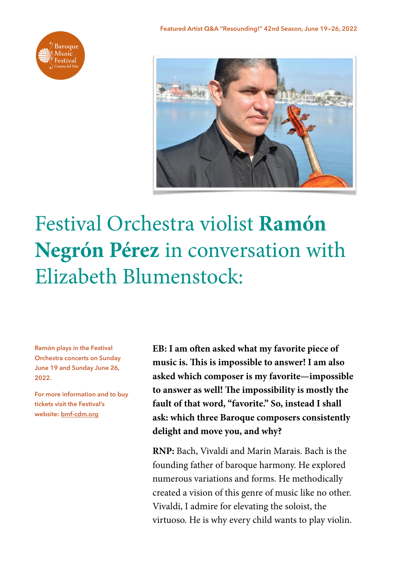



## Festival Orchestra violist **Ramón Negrón Pérez** in conversation with Elizabeth Blumenstock:

**Ramón plays in the Festival Orchestra concerts on Sunday June 19 and Sunday June 26, 2022.** 

**For more information and to buy tickets visit the Festival's website: [bmf-cdm.org](https://bmf-cdm.org)**

**EB: I am ofen asked what my favorite piece of music is. Tis is impossible to answer! I am also asked which composer is my favorite—impossible to answer as well! Te impossibility is mostly the fault of that word, "favorite." So, instead I shall ask: which three Baroque composers consistently delight and move you, and why?**

**RNP:** Bach, Vivaldi and Marin Marais. Bach is the founding father of baroque harmony. He explored numerous variations and forms. He methodically created a vision of this genre of music like no other. Vivaldi, I admire for elevating the soloist, the virtuoso. He is why every child wants to play violin.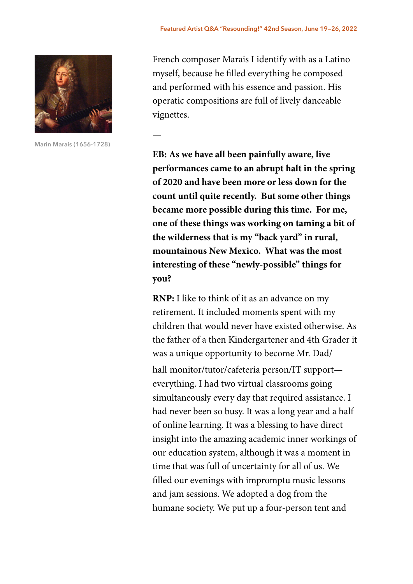

**Marin Marais (1656-1728)**

—

French composer Marais I identify with as a Latino myself, because he flled everything he composed and performed with his essence and passion. His operatic compositions are full of lively danceable vignettes.

**EB: As we have all been painfully aware, live performances came to an abrupt halt in the spring of 2020 and have been more or less down for the count until quite recently. But some other things became more possible during this time. For me, one of these things was working on taming a bit of the wilderness that is my "back yard" in rural, mountainous New Mexico. What was the most interesting of these "newly-possible" things for you?**

**RNP:** I like to think of it as an advance on my retirement. It included moments spent with my children that would never have existed otherwise. As the father of a then Kindergartener and 4th Grader it was a unique opportunity to become Mr. Dad/ hall monitor/tutor/cafeteria person/IT support everything. I had two virtual classrooms going simultaneously every day that required assistance. I had never been so busy. It was a long year and a half of online learning. It was a blessing to have direct insight into the amazing academic inner workings of our education system, although it was a moment in time that was full of uncertainty for all of us. We flled our evenings with impromptu music lessons and jam sessions. We adopted a dog from the humane society. We put up a four-person tent and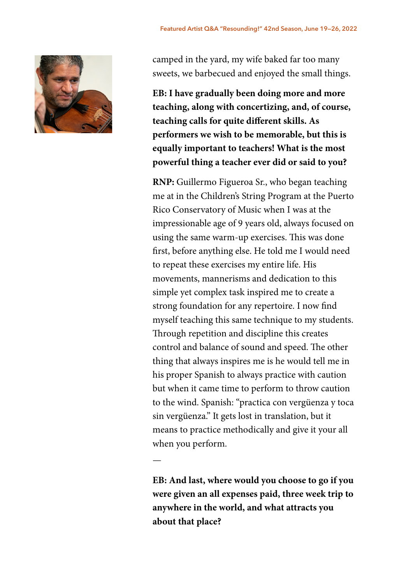

camped in the yard, my wife baked far too many sweets, we barbecued and enjoyed the small things.

**EB: I have gradually been doing more and more teaching, along with concertizing, and, of course, teaching calls for quite different skills. As performers we wish to be memorable, but this is equally important to teachers! What is the most powerful thing a teacher ever did or said to you?**

**RNP:** Guillermo Figueroa Sr., who began teaching me at in the Children's String Program at the Puerto Rico Conservatory of Music when I was at the impressionable age of 9 years old, always focused on using the same warm-up exercises. This was done frst, before anything else. He told me I would need to repeat these exercises my entire life. His movements, mannerisms and dedication to this simple yet complex task inspired me to create a strong foundation for any repertoire. I now fnd myself teaching this same technique to my students. Through repetition and discipline this creates control and balance of sound and speed. The other thing that always inspires me is he would tell me in his proper Spanish to always practice with caution but when it came time to perform to throw caution to the wind. Spanish: "practica con vergüenza y toca sin vergüenza." It gets lost in translation, but it means to practice methodically and give it your all when you perform.

**EB: And last, where would you choose to go if you were given an all expenses paid, three week trip to anywhere in the world, and what attracts you about that place?**

—